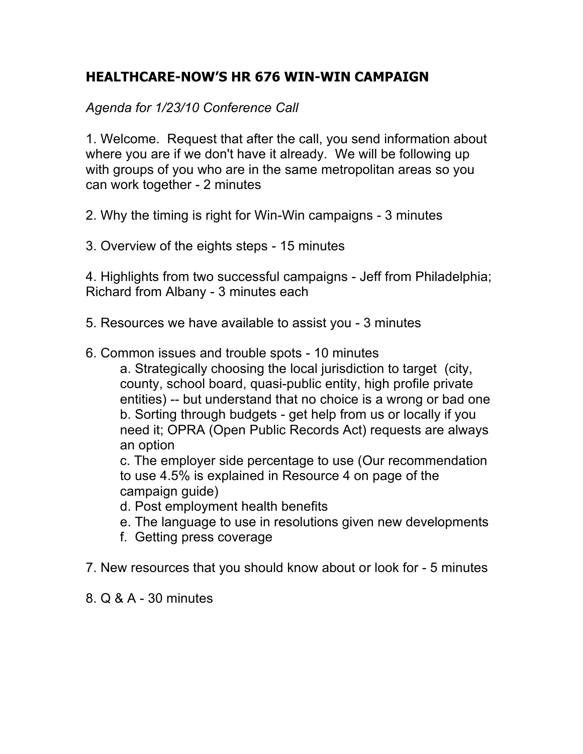# **HEALTHCARE-NOW'S HR 676 WIN-WIN CAMPAIGN**

*Agenda for 1/23/10 Conference Call*

1. Welcome. Request that after the call, you send information about where you are if we don't have it already. We will be following up with groups of you who are in the same metropolitan areas so you can work together - 2 minutes

2. Why the timing is right for Win-Win campaigns - 3 minutes

3. Overview of the eights steps - 15 minutes

4. Highlights from two successful campaigns - Jeff from Philadelphia; Richard from Albany - 3 minutes each

5. Resources we have available to assist you - 3 minutes

6. Common issues and trouble spots - 10 minutes

a. Strategically choosing the local jurisdiction to target (city, county, school board, quasi-public entity, high profile private entities) -- but understand that no choice is a wrong or bad one b. Sorting through budgets - get help from us or locally if you need it; OPRA (Open Public Records Act) requests are always an option

c. The employer side percentage to use (Our recommendation to use 4.5% is explained in Resource 4 on page of the campaign guide)

- d. Post employment health benefits
- e. The language to use in resolutions given new developments
- f. Getting press coverage
- 7. New resources that you should know about or look for 5 minutes
- 8. Q & A 30 minutes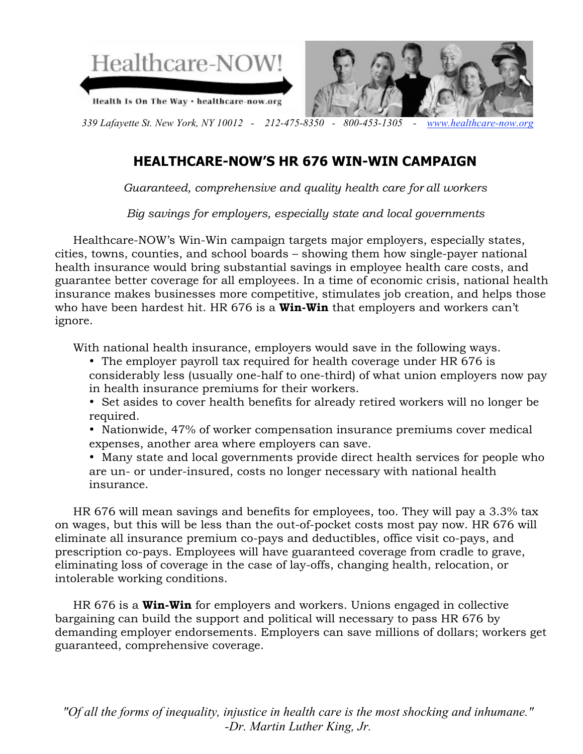

# **HEALTHCARE-NOW'S HR 676 WIN-WIN CAMPAIGN**

*Guaranteed, comprehensive and quality health care for all workers*

*Big savings for employers, especially state and local governments*

 Healthcare-NOW's Win-Win campaign targets major employers, especially states, cities, towns, counties, and school boards – showing them how single-payer national health insurance would bring substantial savings in employee health care costs, and guarantee better coverage for all employees. In a time of economic crisis, national health insurance makes businesses more competitive, stimulates job creation, and helps those who have been hardest hit. HR 676 is a **Win-Win** that employers and workers can't ignore.

With national health insurance, employers would save in the following ways.

- The employer payroll tax required for health coverage under HR 676 is considerably less (usually one-half to one-third) of what union employers now pay in health insurance premiums for their workers.
- Set asides to cover health benefits for already retired workers will no longer be required.
- Nationwide, 47% of worker compensation insurance premiums cover medical expenses, another area where employers can save.
- Many state and local governments provide direct health services for people who are un- or under-insured, costs no longer necessary with national health insurance.

 HR 676 will mean savings and benefits for employees, too. They will pay a 3.3% tax on wages, but this will be less than the out-of-pocket costs most pay now. HR 676 will eliminate all insurance premium co-pays and deductibles, office visit co-pays, and prescription co-pays. Employees will have guaranteed coverage from cradle to grave, eliminating loss of coverage in the case of lay-offs, changing health, relocation, or intolerable working conditions.

 HR 676 is a **Win-Win** for employers and workers. Unions engaged in collective bargaining can build the support and political will necessary to pass HR 676 by demanding employer endorsements. Employers can save millions of dollars; workers get guaranteed, comprehensive coverage.

*"Of all the forms of inequality, injustice in health care is the most shocking and inhumane." -Dr. Martin Luther King, Jr.*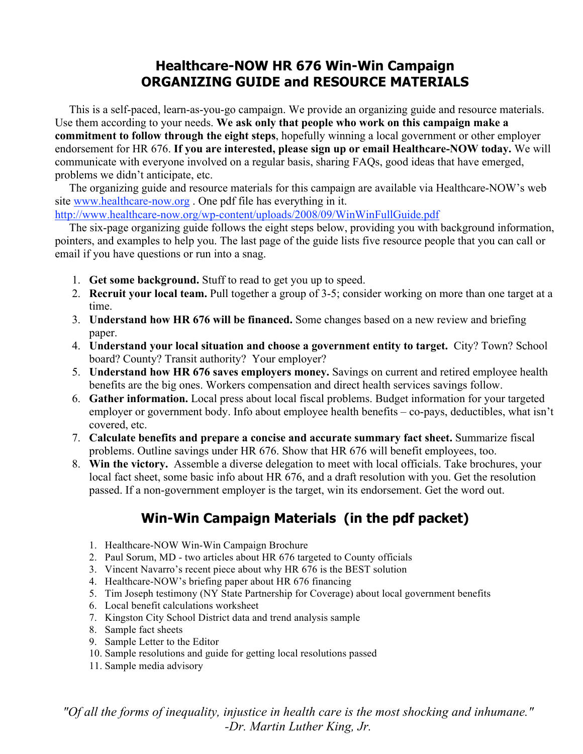# **Healthcare-NOW HR 676 Win-Win Campaign ORGANIZING GUIDE and RESOURCE MATERIALS**

 This is a self-paced, learn-as-you-go campaign. We provide an organizing guide and resource materials. Use them according to your needs. **We ask only that people who work on this campaign make a commitment to follow through the eight steps**, hopefully winning a local government or other employer endorsement for HR 676. **If you are interested, please sign up or email Healthcare-NOW today.** We will communicate with everyone involved on a regular basis, sharing FAQs, good ideas that have emerged, problems we didn't anticipate, etc.

 The organizing guide and resource materials for this campaign are available via Healthcare-NOW's web site www.healthcare-now.org . One pdf file has everything in it.

http://www.healthcare-now.org/wp-content/uploads/2008/09/WinWinFullGuide.pdf

 The six-page organizing guide follows the eight steps below, providing you with background information, pointers, and examples to help you. The last page of the guide lists five resource people that you can call or email if you have questions or run into a snag.

- 1. **Get some background.** Stuff to read to get you up to speed.
- 2. **Recruit your local team.** Pull together a group of 3-5; consider working on more than one target at a time.
- 3. **Understand how HR 676 will be financed.** Some changes based on a new review and briefing paper.
- 4. **Understand your local situation and choose a government entity to target.** City? Town? School board? County? Transit authority? Your employer?
- 5. **Understand how HR 676 saves employers money.** Savings on current and retired employee health benefits are the big ones. Workers compensation and direct health services savings follow.
- 6. **Gather information.** Local press about local fiscal problems. Budget information for your targeted employer or government body. Info about employee health benefits – co-pays, deductibles, what isn't covered, etc.
- 7. **Calculate benefits and prepare a concise and accurate summary fact sheet.** Summarize fiscal problems. Outline savings under HR 676. Show that HR 676 will benefit employees, too.
- 8. **Win the victory.** Assemble a diverse delegation to meet with local officials. Take brochures, your local fact sheet, some basic info about HR 676, and a draft resolution with you. Get the resolution passed. If a non-government employer is the target, win its endorsement. Get the word out.

# **Win-Win Campaign Materials (in the pdf packet)**

- 1. Healthcare-NOW Win-Win Campaign Brochure
- 2. Paul Sorum, MD two articles about HR 676 targeted to County officials
- 3. Vincent Navarro's recent piece about why HR 676 is the BEST solution
- 4. Healthcare-NOW's briefing paper about HR 676 financing
- 5. Tim Joseph testimony (NY State Partnership for Coverage) about local government benefits
- 6. Local benefit calculations worksheet
- 7. Kingston City School District data and trend analysis sample
- 8. Sample fact sheets
- 9. Sample Letter to the Editor
- 10. Sample resolutions and guide for getting local resolutions passed
- 11. Sample media advisory

*"Of all the forms of inequality, injustice in health care is the most shocking and inhumane." -Dr. Martin Luther King, Jr.*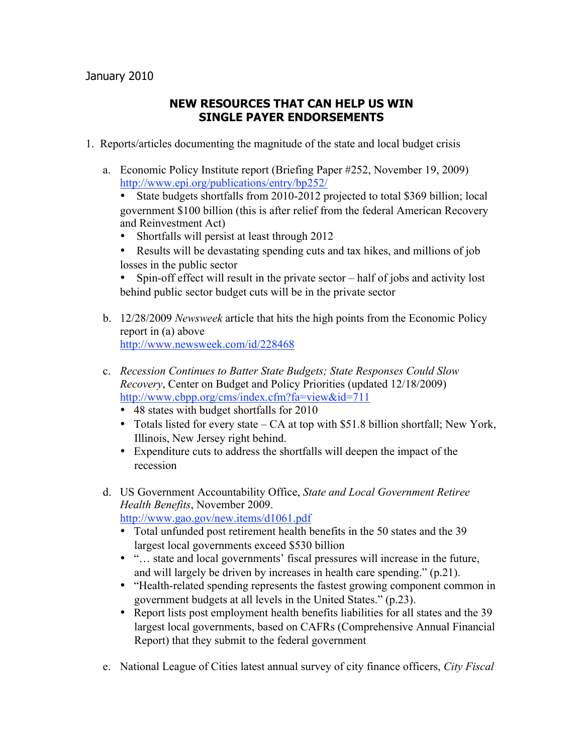## **NEW RESOURCES THAT CAN HELP US WIN SINGLE PAYER ENDORSEMENTS**

- 1. Reports/articles documenting the magnitude of the state and local budget crisis
	- a. Economic Policy Institute report (Briefing Paper #252, November 19, 2009) <http://www.epi.org/publications/entry/bp252/>
		- State budgets shortfalls from 2010-2012 projected to total \$369 billion; local government \$100 billion (this is after relief from the federal American Recovery and Reinvestment Act)
		- Shortfalls will persist at least through 2012
		- Results will be devastating spending cuts and tax hikes, and millions of job losses in the public sector

• Spin-off effect will result in the private sector – half of jobs and activity lost behind public sector budget cuts will be in the private sector

- b. 12/28/2009 *Newsweek* article that hits the high points from the Economic Policy report in (a) above <http://www.newsweek.com/id/228468>
- c. *Recession Continues to Batter State Budgets; State Responses Could Slow Recovery*, Center on Budget and Policy Priorities (updated 12/18/2009) <http://www.cbpp.org/cms/index.cfm?fa=view&id=711>
	- 48 states with budget shortfalls for 2010
	- Totals listed for every state CA at top with \$51.8 billion shortfall; New York, Illinois, New Jersey right behind.
	- Expenditure cuts to address the shortfalls will deepen the impact of the recession
- d. US Government Accountability Office, *State and Local Government Retiree Health Benefits*, November 2009.

<http://www.gao.gov/new.items/d1061.pdf>

- Total unfunded post retirement health benefits in the 50 states and the 39 largest local governments exceed \$530 billion
- "… state and local governments' fiscal pressures will increase in the future, and will largely be driven by increases in health care spending." (p.21).
- "Health-related spending represents the fastest growing component common in government budgets at all levels in the United States." (p.23).
- Report lists post employment health benefits liabilities for all states and the 39 largest local governments, based on CAFRs (Comprehensive Annual Financial Report) that they submit to the federal government
- e. National League of Cities latest annual survey of city finance officers, *City Fiscal*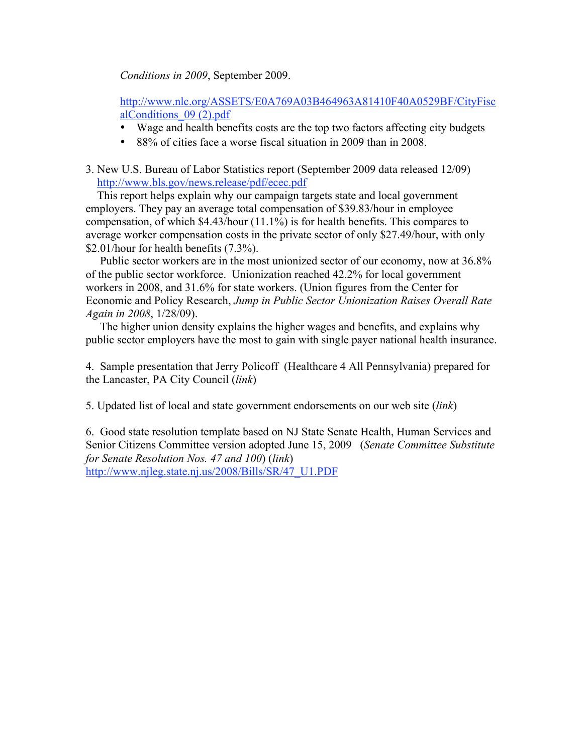*Conditions in 2009*, September 2009.

[http://www.nlc.org/ASSETS/E0A769A03B464963A81410F40A0529BF/CityFisc](http://www.healthcare-now.org/docs/CityFiscalConditions09.pdf) alConditions\_09 (2).pdf

- Wage and health benefits costs are the top two factors affecting city budgets
- 88% of cities face a worse fiscal situation in 2009 than in 2008.
- 3. New U.S. Bureau of Labor Statistics report (September 2009 data released 12/09) <http://www.bls.gov/news.release/pdf/ecec.pdf>

 This report helps explain why our campaign targets state and local government employers. They pay an average total compensation of \$39.83/hour in employee compensation, of which \$4.43/hour (11.1%) is for health benefits. This compares to average worker compensation costs in the private sector of only \$27.49/hour, with only \$2.01/hour for health benefits (7.3%).

 Public sector workers are in the most unionized sector of our economy, now at 36.8% of the public sector workforce. Unionization reached 42.2% for local government workers in 2008, and 31.6% for state workers. (Union figures from the Center for Economic and Policy Research, *Jump in Public Sector Unionization Raises Overall Rate Again in 2008*, 1/28/09).

 The higher union density explains the higher wages and benefits, and explains why public sector employers have the most to gain with single payer national health insurance.

4. Sample presentation that Jerry Policoff (Healthcare 4 All Pennsylvania) prepared for the Lancaster, PA City Council (*link*)

5. Updated list of local and state government endorsements on our web site (*link*)

6. Good state resolution template based on NJ State Senate Health, Human Services and Senior Citizens Committee version adopted June 15, 2009 (*Senate Committee Substitute for Senate Resolution Nos. 47 and 100*) (*link*) [http://www.njleg.state.nj.us/2008/Bills/SR/47\\_U1.PDF](http://www.njleg.state.nj.us/2008/Bills/SR/47_U1.PDF)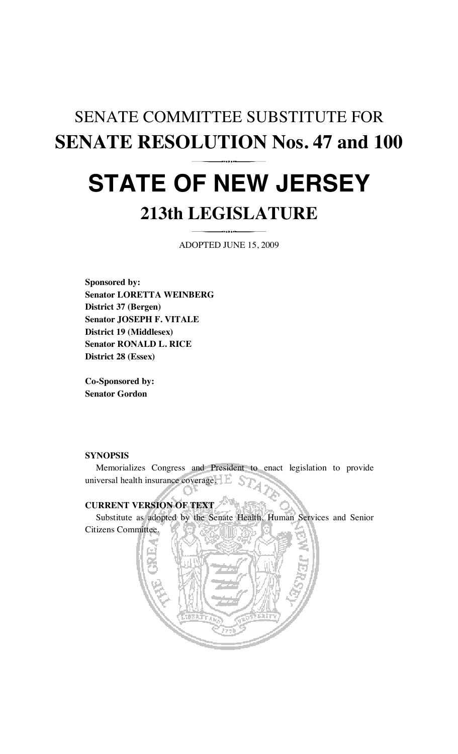# SENATE COMMITTEE SUBSTITUTE FOR **SENATE RESOLUTION Nos. 47 and 100 STATE OF NEW JERSEY 213th LEGISLATURE**

ADOPTED JUNE 15, 2009

**Sponsored by: Senator LORETTA WEINBERG District 37 (Bergen) Senator JOSEPH F. VITALE District 19 (Middlesex) Senator RONALD L. RICE District 28 (Essex)** 

**Co-Sponsored by: Senator Gordon** 

## **SYNOPSIS**

 Memorializes Congress and President to enact legislation to provide universal health insurance coverage.

# **CURRENT VERSION OF TEXT**

Substitute as adopted by the Senate Health, Human Services and Senior

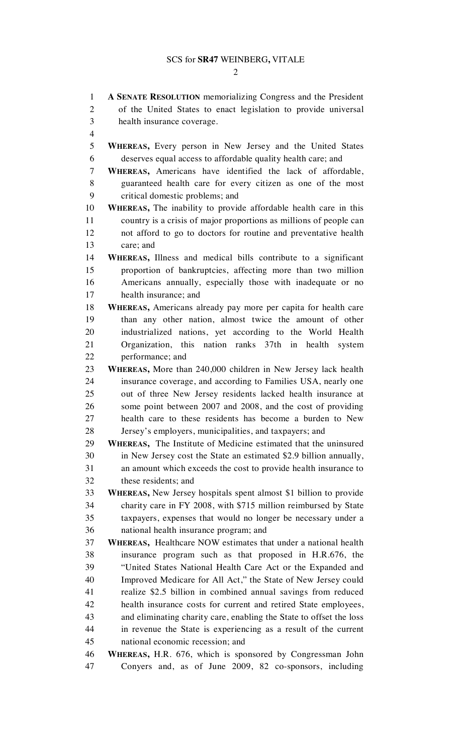#### SCS for **SR47** WEINBERG**,** VITALE

#### $\mathcal{D}_{\mathcal{L}}$

1 **A SENATE RESOLUTION** memorializing Congress and the President 2 of the United States to enact legislation to provide universal 3 health insurance coverage. 4 5 **WHEREAS,** Every person in New Jersey and the United States 6 deserves equal access to affordable quality health care; and 7 **WHEREAS,** Americans have identified the lack of affordable, 8 guaranteed health care for every citizen as one of the most 9 critical domestic problems; and 10 **WHEREAS,** The inability to provide affordable health care in this 11 country is a crisis of major proportions as millions of people can 12 not afford to go to doctors for routine and preventative health 13 care; and 14 **WHEREAS,** Illness and medical bills contribute to a significant 15 proportion of bankruptcies, affecting more than two million 16 Americans annually, especially those with inadequate or no 17 health insurance; and 18 **WHEREAS,** Americans already pay more per capita for health care 19 than any other nation, almost twice the amount of other 20 industrialized nations, yet according to the World Health 21 Organization, this nation ranks 37th in health system 22 performance; and 23 **WHEREAS,** More than 240,000 children in New Jersey lack health 24 insurance coverage, and according to Families USA, nearly one 25 out of three New Jersey residents lacked health insurance at 26 some point between 2007 and 2008, and the cost of providing 27 health care to these residents has become a burden to New 28 Jersey's employers, municipalities, and taxpayers; and 29 **WHEREAS,** The Institute of Medicine estimated that the uninsured 30 in New Jersey cost the State an estimated \$2.9 billion annually, 31 an amount which exceeds the cost to provide health insurance to 32 these residents; and 33 **WHEREAS,** New Jersey hospitals spent almost \$1 billion to provide 34 charity care in FY 2008, with \$715 million reimbursed by State 35 taxpayers, expenses that would no longer be necessary under a 36 national health insurance program; and 37 **WHEREAS,** Healthcare NOW estimates that under a national health 38 insurance program such as that proposed in H.R.676, the 39 "United States National Health Care Act or the Expanded and 40 Improved Medicare for All Act," the State of New Jersey could 41 realize \$2.5 billion in combined annual savings from reduced 42 health insurance costs for current and retired State employees, 43 and eliminating charity care, enabling the State to offset the loss 44 in revenue the State is experiencing as a result of the current 45 national economic recession; and 46 **WHEREAS,** H.R. 676, which is sponsored by Congressman John 47 Conyers and, as of June 2009, 82 co-sponsors, including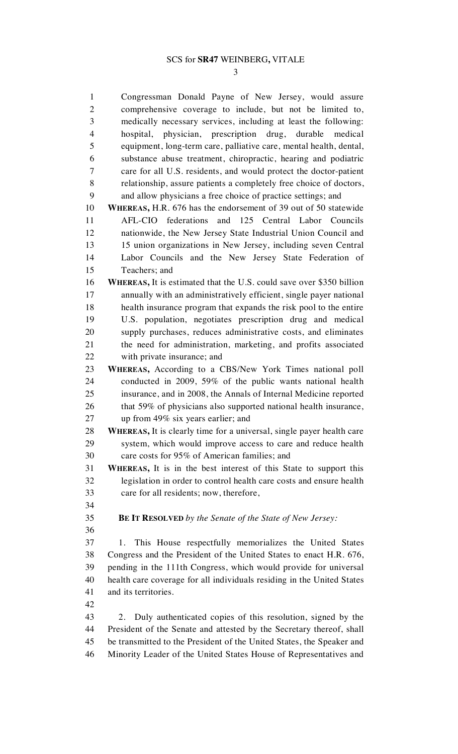#### SCS for **SR47** WEINBERG**,** VITALE

3

1 Congressman Donald Payne of New Jersey, would assure 2 comprehensive coverage to include, but not be limited to, 3 medically necessary services, including at least the following: 4 hospital, physician, prescription drug, durable medical 5 equipment, long-term care, palliative care, mental health, dental, 6 substance abuse treatment, chiropractic, hearing and podiatric 7 care for all U.S. residents, and would protect the doctor-patient 8 relationship, assure patients a completely free choice of doctors, 9 and allow physicians a free choice of practice settings; and 10 **WHEREAS,** H.R. 676 has the endorsement of 39 out of 50 statewide 11 AFL-CIO federations and 125 Central Labor Councils 12 nationwide, the New Jersey State Industrial Union Council and 13 15 union organizations in New Jersey, including seven Central 14 Labor Councils and the New Jersey State Federation of 15 Teachers; and 16 **WHEREAS,** It is estimated that the U.S. could save over \$350 billion 17 annually with an administratively efficient, single payer national 18 health insurance program that expands the risk pool to the entire 19 U.S. population, negotiates prescription drug and medical 20 supply purchases, reduces administrative costs, and eliminates 21 the need for administration, marketing, and profits associated 22 with private insurance; and 23 **WHEREAS,** According to a CBS/New York Times national poll 24 conducted in 2009, 59% of the public wants national health 25 insurance, and in 2008, the Annals of Internal Medicine reported 26 that 59% of physicians also supported national health insurance, 27 up from 49% six years earlier; and 28 **WHEREAS,** It is clearly time for a universal, single payer health care 29 system, which would improve access to care and reduce health 30 care costs for 95% of American families; and 31 **WHEREAS,** It is in the best interest of this State to support this 32 legislation in order to control health care costs and ensure health 33 care for all residents; now, therefore, 34 35 **BE IT RESOLVED** *by the Senate of the State of New Jersey:* 36 37 1. This House respectfully memorializes the United States 38 Congress and the President of the United States to enact H.R. 676, 39 pending in the 111th Congress, which would provide for universal 40 health care coverage for all individuals residing in the United States 41 and its territories. 42 43 2. Duly authenticated copies of this resolution, signed by the 44 President of the Senate and attested by the Secretary thereof, shall 45 be transmitted to the President of the United States, the Speaker and 46 Minority Leader of the United States House of Representatives and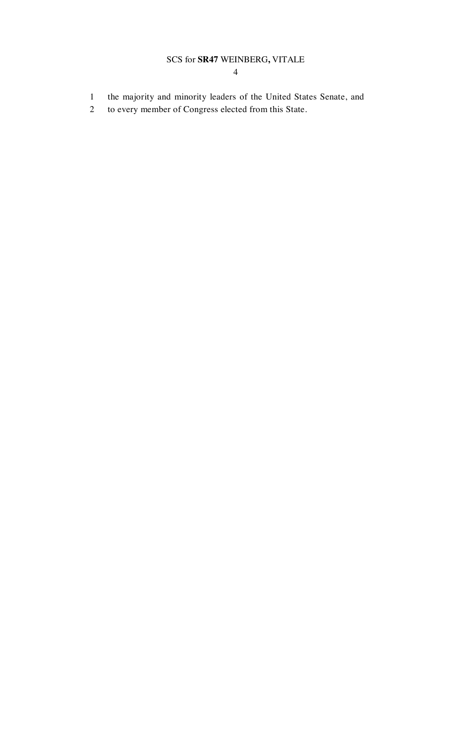## SCS for **SR47** WEINBERG**,** VITALE

- 1 the majority and minority leaders of the United States Senate, and
- 2 to every member of Congress elected from this State.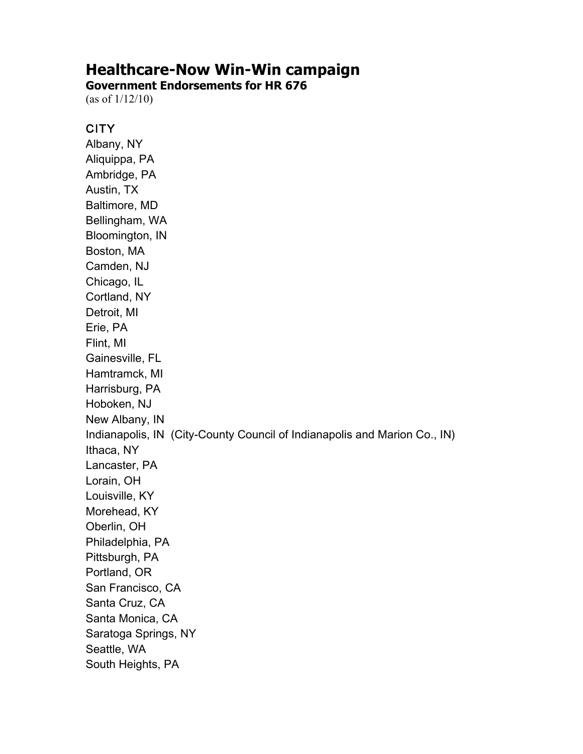# **Healthcare-Now Win-Win campaign**

**Government Endorsements for HR 676** 

(as of  $1/12/10$ )

## **CITY**

Albany, NY Aliquippa, PA Ambridge, PA Austin, TX Baltimore, MD Bellingham, WA Bloomington, IN Boston, MA Camden, NJ Chicago, IL Cortland, NY Detroit, MI Erie, PA Flint, MI Gainesville, FL Hamtramck, MI Harrisburg, PA Hoboken, NJ New Albany, IN Indianapolis, IN (City-County Council of Indianapolis and Marion Co., IN) Ithaca, NY Lancaster, PA Lorain, OH Louisville, KY Morehead, KY Oberlin, OH Philadelphia, PA Pittsburgh, PA Portland, OR San Francisco, CA Santa Cruz, CA Santa Monica, CA Saratoga Springs, NY Seattle, WA South Heights, PA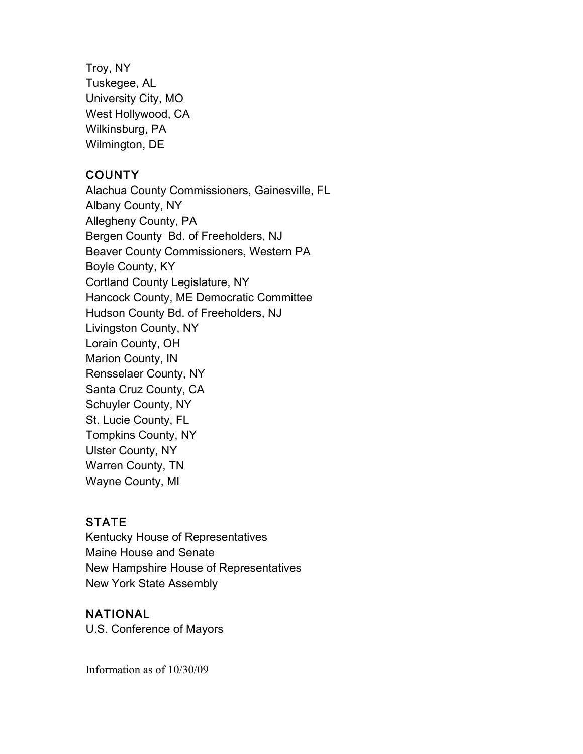Troy, NY Tuskegee, AL University City, MO West Hollywood, CA Wilkinsburg, PA Wilmington, DE

## **COUNTY**

Alachua County Commissioners, Gainesville, FL Albany County, NY Allegheny County, PA Bergen County Bd. of Freeholders, NJ Beaver County Commissioners, Western PA Boyle County, KY Cortland County Legislature, NY Hancock County, ME Democratic Committee Hudson County Bd. of Freeholders, NJ Livingston County, NY Lorain County, OH Marion County, IN Rensselaer County, NY Santa Cruz County, CA Schuyler County, NY St. Lucie County, FL **Tompkins County, NY Ulster County, NY** Warren County, TN Wayne County, MI

# **STATE**

Kentucky House of Representatives Maine House and Senate New Hampshire House of Representatives New York State Assembly

## **NATIONAL**

U.S. Conference of Mayors

Information as of  $10/30/09$